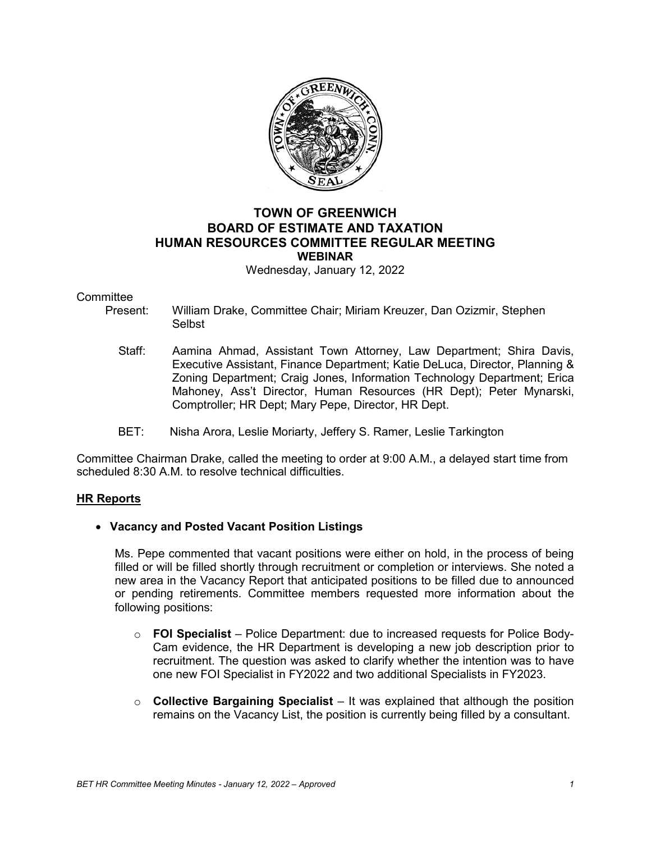

## **TOWN OF GREENWICH BOARD OF ESTIMATE AND TAXATION HUMAN RESOURCES COMMITTEE REGULAR MEETING WEBINAR**

Wednesday, January 12, 2022

# Committee<br>Present:

- William Drake, Committee Chair; Miriam Kreuzer, Dan Ozizmir, Stephen Selbst
- Staff: Aamina Ahmad, Assistant Town Attorney, Law Department; Shira Davis, Executive Assistant, Finance Department; Katie DeLuca, Director, Planning & Zoning Department; Craig Jones, Information Technology Department; Erica Mahoney, Ass't Director, Human Resources (HR Dept); Peter Mynarski, Comptroller; HR Dept; Mary Pepe, Director, HR Dept.
- BET: Nisha Arora, Leslie Moriarty, Jeffery S. Ramer, Leslie Tarkington

Committee Chairman Drake, called the meeting to order at 9:00 A.M., a delayed start time from scheduled 8:30 A.M. to resolve technical difficulties.

#### **HR Reports**

#### • **Vacancy and Posted Vacant Position Listings**

Ms. Pepe commented that vacant positions were either on hold, in the process of being filled or will be filled shortly through recruitment or completion or interviews. She noted a new area in the Vacancy Report that anticipated positions to be filled due to announced or pending retirements. Committee members requested more information about the following positions:

- o **FOI Specialist** Police Department: due to increased requests for Police Body-Cam evidence, the HR Department is developing a new job description prior to recruitment. The question was asked to clarify whether the intention was to have one new FOI Specialist in FY2022 and two additional Specialists in FY2023.
- o **Collective Bargaining Specialist** It was explained that although the position remains on the Vacancy List, the position is currently being filled by a consultant.